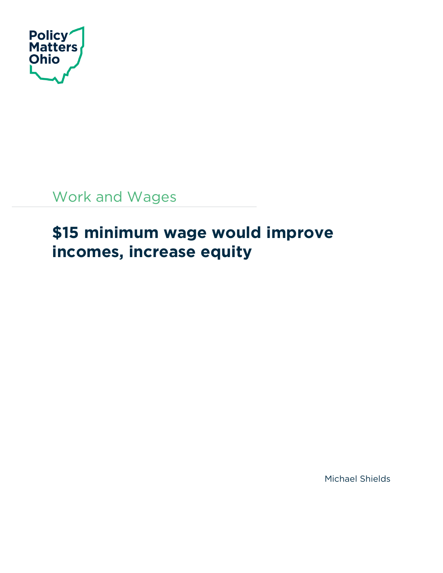

Work and Wages

# **\$15 minimum wage would improve incomes, increase equity**

Michael Shields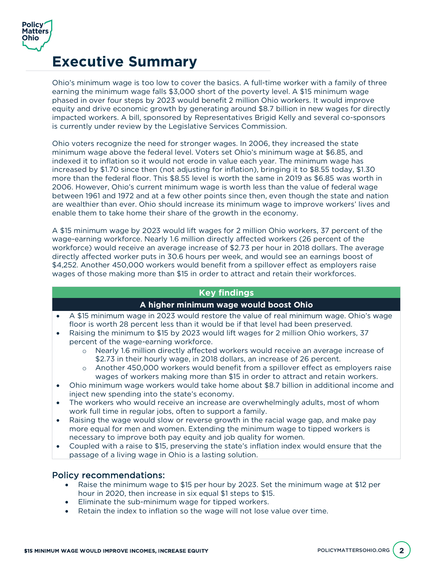

## **Executive Summary**

Ohio's minimum wage is too low to cover the basics. A full-time worker with a family of three earning the minimum wage falls \$3,000 short of the poverty level. A \$15 minimum wage phased in over four steps by 2023 would benefit 2 million Ohio workers. It would improve equity and drive economic growth by generating around \$8.7 billion in new wages for directly impacted workers. A bill, sponsored by Representatives Brigid Kelly and several co-sponsors is currently under review by the Legislative Services Commission.

Ohio voters recognize the need for stronger wages. In 2006, they increased the state minimum wage above the federal level. Voters set Ohio's minimum wage at \$6.85, and indexed it to inflation so it would not erode in value each year. The minimum wage has increased by \$1.70 since then (not adjusting for inflation), bringing it to \$8.55 today, \$1.30 more than the federal floor. This \$8.55 level is worth the same in 2019 as \$6.85 was worth in 2006. However, Ohio's current minimum wage is worth less than the value of federal wage between 1961 and 1972 and at a few other points since then, even though the state and nation are wealthier than ever. Ohio should increase its minimum wage to improve workers' lives and enable them to take home their share of the growth in the economy.

A \$15 minimum wage by 2023 would lift wages for 2 million Ohio workers, 37 percent of the wage-earning workforce. Nearly 1.6 million directly affected workers (26 percent of the workforce) would receive an average increase of \$2.73 per hour in 2018 dollars. The average directly affected worker puts in 30.6 hours per week, and would see an earnings boost of \$4,252. Another 450,000 workers would benefit from a spillover effect as employers raise wages of those making more than \$15 in order to attract and retain their workforces.

#### **Key findings**

#### **A higher minimum wage would boost Ohio**

- A \$15 minimum wage in 2023 would restore the value of real minimum wage. Ohio's wage floor is worth 28 percent less than it would be if that level had been preserved.
- Raising the minimum to \$15 by 2023 would lift wages for 2 million Ohio workers, 37 percent of the wage-earning workforce.
	- o Nearly 1.6 million directly affected workers would receive an average increase of \$2.73 in their hourly wage, in 2018 dollars, an increase of 26 percent.
	- o Another 450,000 workers would benefit from a spillover effect as employers raise wages of workers making more than \$15 in order to attract and retain workers.
- Ohio minimum wage workers would take home about \$8.7 billion in additional income and inject new spending into the state's economy.
- The workers who would receive an increase are overwhelmingly adults, most of whom work full time in regular jobs, often to support a family.
- Raising the wage would slow or reverse growth in the racial wage gap, and make pay more equal for men and women. Extending the minimum wage to tipped workers is necessary to improve both pay equity and job quality for women.
- Coupled with a raise to \$15, preserving the state's inflation index would ensure that the passage of a living wage in Ohio is a lasting solution.

#### Policy recommendations:

- Raise the minimum wage to \$15 per hour by 2023. Set the minimum wage at \$12 per hour in 2020, then increase in six equal \$1 steps to \$15.
- Eliminate the sub-minimum wage for tipped workers.
- Retain the index to inflation so the wage will not lose value over time.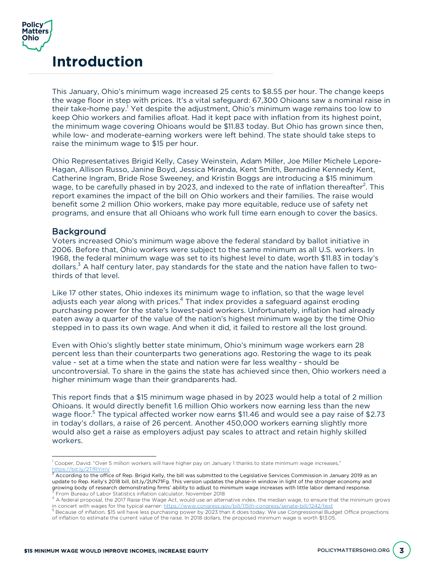

### **Introduction**

This January, Ohio's minimum wage increased 25 cents to \$8.55 per hour. The change keeps the wage floor in step with prices. It's a vital safeguard: 67,300 Ohioans saw a nominal raise in their take-home pay.<sup>1</sup> Yet despite the adjustment, Ohio's minimum wage remains too low to keep Ohio workers and families afloat. Had it kept pace with inflation from its highest point, the minimum wage covering Ohioans would be \$11.83 today. But Ohio has grown since then, while low- and moderate-earning workers were left behind. The state should take steps to raise the minimum wage to \$15 per hour.

Ohio Representatives Brigid Kelly, Casey Weinstein, Adam Miller, Joe Miller Michele Lepore-Hagan, Allison Russo, Janine Boyd, Jessica Miranda, Kent Smith, Bernadine Kennedy Kent, Catherine Ingram, Bride Rose Sweeney, and Kristin Boggs are introducing a \$15 minimum wage, to be carefully phased in by 2023, and indexed to the rate of inflation thereafter<sup>2</sup>. This report examines the impact of the bill on Ohio workers and their families. The raise would benefit some 2 million Ohio workers, make pay more equitable, reduce use of safety net programs, and ensure that all Ohioans who work full time earn enough to cover the basics.

#### Background

 $\overline{a}$ 

Voters increased Ohio's minimum wage above the federal standard by ballot initiative in 2006. Before that, Ohio workers were subject to the same minimum as all U.S. workers. In 1968, the federal minimum wage was set to its highest level to date, worth \$11.83 in today's dollars.<sup>3</sup> A half century later, pay standards for the state and the nation have fallen to twothirds of that level.

Like 17 other states, Ohio indexes its minimum wage to inflation, so that the wage level adjusts each year along with prices.<sup>4</sup> That index provides a safeguard against eroding purchasing power for the state's lowest-paid workers. Unfortunately, inflation had already eaten away a quarter of the value of the nation's highest minimum wage by the time Ohio stepped in to pass its own wage. And when it did, it failed to restore all the lost ground.

Even with Ohio's slightly better state minimum, Ohio's minimum wage workers earn 28 percent less than their counterparts two generations ago. Restoring the wage to its peak value - set at a time when the state and nation were far less wealthy - should be uncontroversial. To share in the gains the state has achieved since then, Ohio workers need a higher minimum wage than their grandparents had.

This report finds that a \$15 minimum wage phased in by 2023 would help a total of 2 million Ohioans. It would directly benefit 1.6 million Ohio workers now earning less than the new wage floor.<sup>5</sup> The typical affected worker now earns \$11.46 and would see a pay raise of \$2.73 in today's dollars, a raise of 26 percent. Another 450,000 workers earning slightly more would also get a raise as employers adjust pay scales to attract and retain highly skilled workers.

<sup>1</sup> Cooper, David. "Over 5 million workers will have higher pay on January 1 thanks to state minimum wage increases,"

https://bit.ly/2TfRYmV<br><sup>2</sup> According to the office of Rep. Brigid Kelly, the bill was submitted to the Legislative Services Commission in January 2019 as an update to Rep. Kelly's 2018 bill, bit.ly/2UN71Fg. This version updates the phase-in window in light of the stronger economy and<br>growing body of research demonstrating firms' ability to adjust to minimum wage increases with

 $^{\rm 3}$  From Bureau of Labor Statistics inflation calculator, November 2018<br><sup>4</sup> A federal proposal, the 2017 Raise the Wage Act, would use an alternative index, the median wage, to ensure that the minimum grows in concert with wages for the typical earner: https://www.congress.gov/bill/115th-congress/senate-bill/1242/text<br><sup>5</sup> Because of inflation, \$15 will have less purchasing power by 2023 than it does today. We use Congressiona

of inflation to estimate the current value of the raise. In 2018 dollars, the proposed minimum wage is worth \$13.05.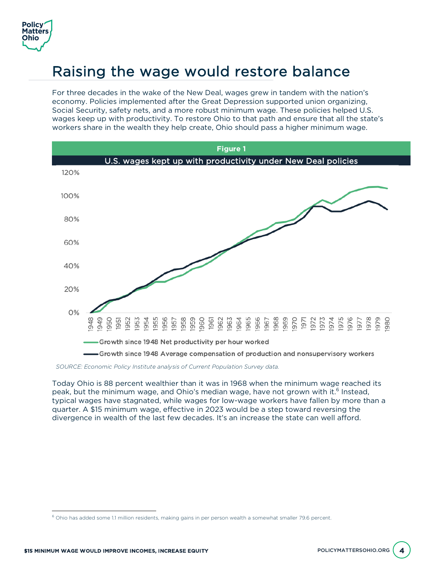

# Raising the wage would restore balance

For three decades in the wake of the New Deal, wages grew in tandem with the nation's economy. Policies implemented after the Great Depression supported union organizing, Social Security, safety nets, and a more robust minimum wage. These policies helped U.S. wages keep up with productivity. To restore Ohio to that path and ensure that all the state's workers share in the wealth they help create, Ohio should pass a higher minimum wage.



*SOURCE: Economic Policy Institute analysis of Current Population Survey data.* 

Today Ohio is 88 percent wealthier than it was in 1968 when the minimum wage reached its peak, but the minimum wage, and Ohio's median wage, have not grown with it.<sup>6</sup> Instead, typical wages have stagnated, while wages for low-wage workers have fallen by more than a quarter. A \$15 minimum wage, effective in 2023 would be a step toward reversing the divergence in wealth of the last few decades. It's an increase the state can well afford.

 $\overline{a}$ 

 $6$  Ohio has added some 1.1 million residents, making gains in per person wealth a somewhat smaller 79.6 percent.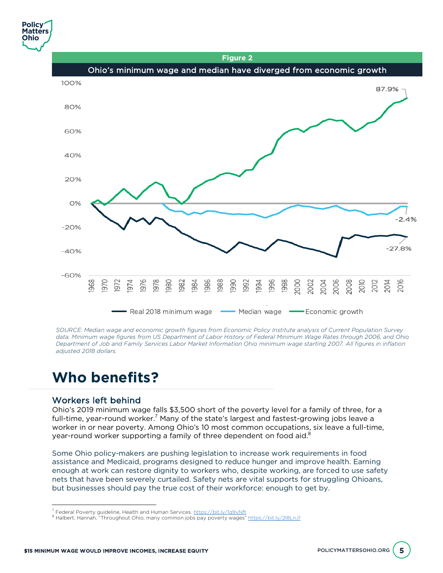**Figure 2**



*SOURCE: Median wage and economic growth figures from Economic Policy Institute analysis of Current Population Survey data. Minimum wage figures from US Department of Labor History of Federal Minimum Wage Rates through 2006, and Ohio Department of Job and Family Services Labor Market Information Ohio minimum wage starting 2007. All figures in inflation adjusted 2018 dollars.*

## **Who benefits?**

#### Workers left behind

 $\overline{a}$ 

Ohio's 2019 minimum wage falls \$3,500 short of the poverty level for a family of three, for a full-time, year-round worker.<sup>7</sup> Many of the state's largest and fastest-growing jobs leave a worker in or near poverty. Among Ohio's 10 most common occupations, six leave a full-time, year-round worker supporting a family of three dependent on food aid.<sup>8</sup>

Some Ohio policy-makers are pushing legislation to increase work requirements in food assistance and Medicaid, programs designed to reduce hunger and improve health. Earning enough at work can restore dignity to workers who, despite working, are forced to use safety nets that have been severely curtailed. Safety nets are vital supports for struggling Ohioans, but businesses should pay the true cost of their workforce: enough to get by.

<sup>&</sup>lt;sup>7</sup> Federal Poverty guideline, Health and Human Services. <u>https://bit.ly/1q9yNft</u><br><sup>8</sup> Halbert, Hannah, "Throughout Ohio, many common jobs pay poverty wages" <u>https://bit.ly/2I8LnJ1</u>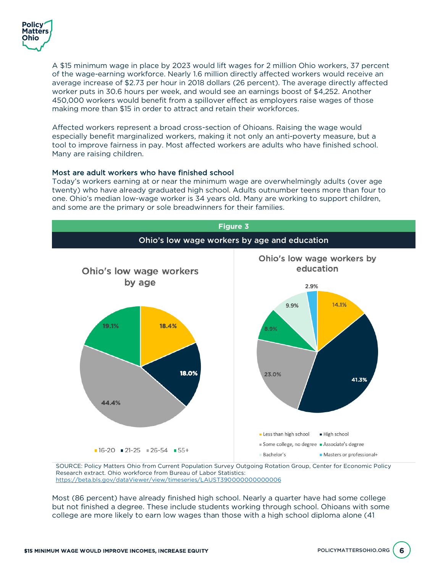

A \$15 minimum wage in place by 2023 would lift wages for 2 million Ohio workers, 37 percent of the wage-earning workforce. Nearly 1.6 million directly affected workers would receive an average increase of \$2.73 per hour in 2018 dollars (26 percent). The average directly affected worker puts in 30.6 hours per week, and would see an earnings boost of \$4,252. Another 450,000 workers would benefit from a spillover effect as employers raise wages of those making more than \$15 in order to attract and retain their workforces.

Affected workers represent a broad cross-section of Ohioans. Raising the wage would especially benefit marginalized workers, making it not only an anti-poverty measure, but a tool to improve fairness in pay. Most affected workers are adults who have finished school. Many are raising children.

#### Most are adult workers who have finished school

Today's workers earning at or near the minimum wage are overwhelmingly adults (over age twenty) who have already graduated high school. Adults outnumber teens more than four to one. Ohio's median low-wage worker is 34 years old. Many are working to support children, and some are the primary or sole breadwinners for their families.



SOURCE: Policy Matters Ohio from Current Population Survey Outgoing Rotation Group, Center for Economic Policy Research extract. Ohio workforce from Bureau of Labor Statistics: https://beta.bls.gov/dataViewer/view/timeseries/LAUST390000000000006

Most (86 percent) have already finished high school. Nearly a quarter have had some college but not finished a degree. These include students working through school. Ohioans with some college are more likely to earn low wages than those with a high school diploma alone (41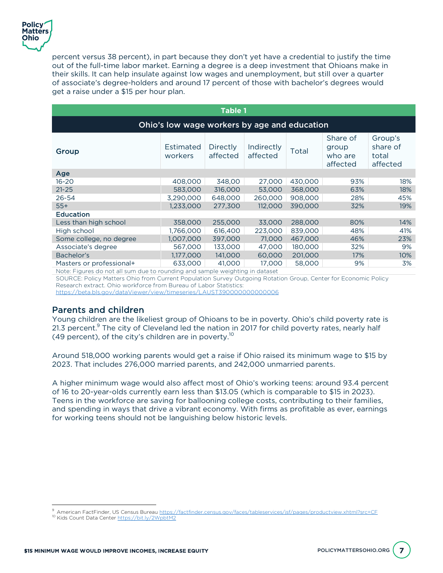

percent versus 38 percent), in part because they don't yet have a credential to justify the time out of the full-time labor market. Earning a degree is a deep investment that Ohioans make in their skills. It can help insulate against low wages and unemployment, but still over a quarter of associate's degree-holders and around 17 percent of those with bachelor's degrees would get a raise under a \$15 per hour plan.

| <b>Table 1</b>                                                                                                                                                                                                                                            |                             |                             |                        |         |                                          |                                          |  |
|-----------------------------------------------------------------------------------------------------------------------------------------------------------------------------------------------------------------------------------------------------------|-----------------------------|-----------------------------|------------------------|---------|------------------------------------------|------------------------------------------|--|
| Ohio's low wage workers by age and education                                                                                                                                                                                                              |                             |                             |                        |         |                                          |                                          |  |
| Group                                                                                                                                                                                                                                                     | <b>Estimated</b><br>workers | <b>Directly</b><br>affected | Indirectly<br>affected | Total   | Share of<br>group<br>who are<br>affected | Group's<br>share of<br>total<br>affected |  |
| Age                                                                                                                                                                                                                                                       |                             |                             |                        |         |                                          |                                          |  |
| $16 - 20$                                                                                                                                                                                                                                                 | 408,000                     | 348.00                      | 27,000                 | 430,000 | 93%                                      | 18%                                      |  |
| $21 - 25$                                                                                                                                                                                                                                                 | 583,000                     | 316,000                     | 53,000                 | 368,000 | 63%                                      | 18%                                      |  |
| 26-54                                                                                                                                                                                                                                                     | 3,290,000                   | 648,000                     | 260,000                | 908,000 | 28%                                      | 45%                                      |  |
| $55+$                                                                                                                                                                                                                                                     | 1,233,000                   | 277,300                     | 112,000                | 390,000 | 32%                                      | 19%                                      |  |
| <b>Education</b>                                                                                                                                                                                                                                          |                             |                             |                        |         |                                          |                                          |  |
| Less than high school                                                                                                                                                                                                                                     | 358,000                     | 255,000                     | 33,000                 | 288,000 | 80%                                      | 14%                                      |  |
| High school                                                                                                                                                                                                                                               | 1,766,000                   | 616,400                     | 223,000                | 839,000 | 48%                                      | 41%                                      |  |
| Some college, no degree                                                                                                                                                                                                                                   | 1,007,000                   | 397,000                     | 71,000                 | 467,000 | 46%                                      | 23%                                      |  |
| Associate's degree                                                                                                                                                                                                                                        | 567,000                     | 133,000                     | 47,000                 | 180,000 | 32%                                      | 9%                                       |  |
| Bachelor's                                                                                                                                                                                                                                                | 1,177,000                   | 141,000                     | 60,000                 | 201,000 | 17%                                      | $10\%$                                   |  |
| Masters or professional+<br>Note that the contract of the contract of the contract of the contract of the contract of the contract of the contract of the contract of the contract of the contract of the contract of the contract of the contract of the | 633,000                     | 41,000                      | 17,000                 | 58,000  | 9%                                       | 3%                                       |  |

Note: Figures do not all sum due to rounding and sample weighting in dataset

SOURCE: Policy Matters Ohio from Current Population Survey Outgoing Rotation Group, Center for Economic Policy Research extract. Ohio workforce from Bureau of Labor Statistics:

https://beta.bls.gov/dataViewer/view/timeseries/LAUST390000000000006

#### Parents and children

Young children are the likeliest group of Ohioans to be in poverty. Ohio's child poverty rate is 21.3 percent. $9$  The city of Cleveland led the nation in 2017 for child poverty rates, nearly half (49 percent), of the city's children are in poverty.<sup>10</sup>

Around 518,000 working parents would get a raise if Ohio raised its minimum wage to \$15 by 2023. That includes 276,000 married parents, and 242,000 unmarried parents.

A higher minimum wage would also affect most of Ohio's working teens: around 93.4 percent of 16 to 20-year-olds currently earn less than \$13.05 (which is comparable to \$15 in 2023). Teens in the workforce are saving for ballooning college costs, contributing to their families, and spending in ways that drive a vibrant economy. With firms as profitable as ever, earnings for working teens should not be languishing below historic levels.

 $\overline{a}$ 

<sup>&</sup>lt;sup>9</sup> American FactFinder, US Census Bureau <u>https://factfinder.census.gov/faces/tableservices/jsf/pages/productview.xhtml?src=CF <sup>10</sup> Kids Count Data Center <u>https://bit.ly/2WpbtM2</u></u>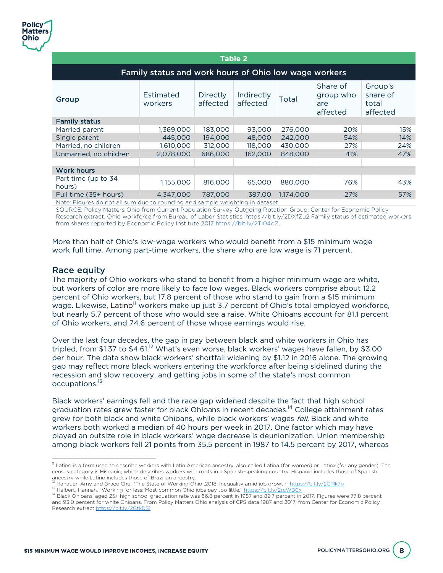| <b>Table 2</b>                                        |                      |                      |                        |           |                                          |                                          |  |  |
|-------------------------------------------------------|----------------------|----------------------|------------------------|-----------|------------------------------------------|------------------------------------------|--|--|
| Family status and work hours of Ohio low wage workers |                      |                      |                        |           |                                          |                                          |  |  |
| Group                                                 | Estimated<br>workers | Directly<br>affected | Indirectly<br>affected | Total     | Share of<br>group who<br>are<br>affected | Group's<br>share of<br>total<br>affected |  |  |
| <b>Family status</b>                                  |                      |                      |                        |           |                                          |                                          |  |  |
| Married parent                                        | 1,369,000            | 183,000              | 93,000                 | 276,000   | 20%                                      | 15%                                      |  |  |
| Single parent                                         | 445,000              | 194,000              | 48,000                 | 242,000   | 54%                                      | 14%                                      |  |  |
| Married, no children                                  | 1,610,000            | 312,000              | 118,000                | 430,000   | 27%                                      | 24%                                      |  |  |
| Unmarried, no children                                | 2,078,000            | 686,000              | 162,000                | 848,000   | 41%                                      | 47%                                      |  |  |
| <b>Work hours</b>                                     |                      |                      |                        |           |                                          |                                          |  |  |
| Part time (up to 34<br>hours)                         | 1,155,000            | 816,000              | 65,000                 | 880,000   | 76%                                      | 43%                                      |  |  |
| Full time (35+ hours)                                 | 4,347,000            | 787,000              | 387.00                 | 1.174.000 | 27%                                      | 57%                                      |  |  |

Note: Figures do not all sum due to rounding and sample weighting in dataset

SOURCE: Policy Matters Ohio from Current Population Survey Outgoing Rotation Group, Center for Economic Policy Research extract. Ohio workforce from Bureau of Labor Statistics: https://bit.ly/2DXfZu2 Family status of estimated workers from shares reported by Economic Policy Institute 2017 https://bit.ly/2TI04oZ.

More than half of Ohio's low-wage workers who would benefit from a \$15 minimum wage work full time. Among part-time workers, the share who are low wage is 71 percent.

#### Race equity

 $\overline{a}$ 

The majority of Ohio workers who stand to benefit from a higher minimum wage are white, but workers of color are more likely to face low wages. Black workers comprise about 12.2 percent of Ohio workers, but 17.8 percent of those who stand to gain from a \$15 minimum wage. Likewise, Latino<sup>11</sup> workers make up just 3.7 percent of Ohio's total employed workforce, but nearly 5.7 percent of those who would see a raise. White Ohioans account for 81.1 percent of Ohio workers, and 74.6 percent of those whose earnings would rise.

Over the last four decades, the gap in pay between black and white workers in Ohio has tripled, from \$1.37 to \$4.61.<sup>12</sup> What's even worse, black workers' wages have fallen, by \$3.00 per hour. The data show black workers' shortfall widening by \$1.12 in 2016 alone. The growing gap may reflect more black workers entering the workforce after being sidelined during the recession and slow recovery, and getting jobs in some of the state's most common occupations.13

Black workers' earnings fell and the race gap widened despite the fact that high school graduation rates grew faster for black Ohioans in recent decades.<sup>14</sup> College attainment rates grew for both black and white Ohioans, while black workers' wages fell. Black and white workers both worked a median of 40 hours per week in 2017. One factor which may have played an outsize role in black workers' wage decrease is deunionization. Union membership among black workers fell 21 points from 35.5 percent in 1987 to 14.5 percent by 2017, whereas

 $\textsuperscript{11}$  Latino is a term used to describe workers with Latin American ancestry, also called Latina (for women) or Latinx (for any gender). The census category is Hispanic, which describes workers with roots in a Spanish-speaking country. Hispanic includes those of Spanish ancestry while Latino includes those of Brazilian ancestry.<br><sup>12</sup> Hanauer, Amy and Grace Chu. "The State of Working Ohio ,2018: Inequality amid job growth" https://bit.ly/2CPlk7g

<sup>13</sup> Halbert, Hannah. "Working for less: Most common Ohio jobs pay too little," https://bit.ly/2rcWBCx<br><sup>14</sup> Black Ohioans' aged 25+ high school graduation rate was 66.8 percent in 1987 and 89.7 percent in 2017. Figures were and 93.0 percent for white Ohioans. From Policy Matters Ohio analysis of CPS data 1987 and 2017, from Center for Economic Policy Research extract https://bit.ly/2GtkDS1.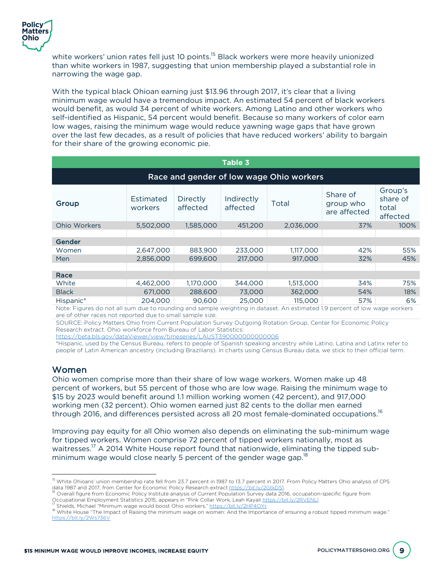

white workers' union rates fell just 10 points.<sup>15</sup> Black workers were more heavily unionized than white workers in 1987, suggesting that union membership played a substantial role in narrowing the wage gap.

With the typical black Ohioan earning just \$13.96 through 2017, it's clear that a living minimum wage would have a tremendous impact. An estimated 54 percent of black workers would benefit, as would 34 percent of white workers. Among Latino and other workers who self-identified as Hispanic, 54 percent would benefit. Because so many workers of color earn low wages, raising the minimum wage would reduce yawning wage gaps that have grown over the last few decades, as a result of policies that have reduced workers' ability to bargain for their share of the growing economic pie.

| <b>Table 3</b>                                                                                                            |                      |                      |                        |           |                                       |                                          |  |  |  |
|---------------------------------------------------------------------------------------------------------------------------|----------------------|----------------------|------------------------|-----------|---------------------------------------|------------------------------------------|--|--|--|
| Race and gender of low wage Ohio workers                                                                                  |                      |                      |                        |           |                                       |                                          |  |  |  |
| Group                                                                                                                     | Estimated<br>workers | Directly<br>affected | Indirectly<br>affected | Total     | Share of<br>group who<br>are affected | Group's<br>share of<br>total<br>affected |  |  |  |
| <b>Ohio Workers</b>                                                                                                       | 5,502,000            | 1,585,000            | 451,200                | 2,036,000 | 37%                                   | 100%                                     |  |  |  |
|                                                                                                                           |                      |                      |                        |           |                                       |                                          |  |  |  |
| Gender                                                                                                                    |                      |                      |                        |           |                                       |                                          |  |  |  |
| Women                                                                                                                     | 2,647,000            | 883,900              | 233,000                | 1,117,000 | 42%                                   | 55%                                      |  |  |  |
| Men                                                                                                                       | 2,856,000            | 699,600              | 217,000                | 917,000   | 32%                                   | 45%                                      |  |  |  |
|                                                                                                                           |                      |                      |                        |           |                                       |                                          |  |  |  |
| Race                                                                                                                      |                      |                      |                        |           |                                       |                                          |  |  |  |
| White                                                                                                                     | 4,462,000            | 1,170,000            | 344.000                | 1,513,000 | 34%                                   | 75%                                      |  |  |  |
| <b>Black</b>                                                                                                              | 671,000              | 288,600              | 73,000                 | 362,000   | 54%                                   | 18%                                      |  |  |  |
| Hispanic*                                                                                                                 | 204.000              | 90,600               | 25,000                 | 115,000   | 57%                                   | 6%                                       |  |  |  |
| Note: Figures do not all sum due to rounding and sample weighting in dataset. An estimated 19 percent of low wage workers |                      |                      |                        |           |                                       |                                          |  |  |  |

Note: Figures do not all sum due to rounding and sample weighting in dataset. An estimated 1.9 percent of low wage workers are of other races not reported due to small sample size.

SOURCE: Policy Matters Ohio from Current Population Survey Outgoing Rotation Group, Center for Economic Policy Research extract. Ohio workforce from Bureau of Labor Statistics:

https://beta.bls.gov/dataViewer/view/timeseries/LAUST390000000000006

\*Hispanic, used by the Census Bureau, refers to people of Spanish speaking ancestry while Latino, Latina and Latinx refer to people of Latin American ancestry (including Brazilians). In charts using Census Bureau data, we stick to their official term.

#### Women

 $\overline{a}$ 

Ohio women comprise more than their share of low wage workers. Women make up 48 percent of workers, but 55 percent of those who are low wage. Raising the minimum wage to \$15 by 2023 would benefit around 1.1 million working women (42 percent), and 917,000 working men (32 percent). Ohio women earned just 82 cents to the dollar men earned through 2016, and differences persisted across all 20 most female-dominated occupations.<sup>16</sup>

Improving pay equity for all Ohio women also depends on eliminating the sub-minimum wage for tipped workers. Women comprise 72 percent of tipped workers nationally, most as waitresses.<sup>17</sup> A 2014 White House report found that nationwide, eliminating the tipped subminimum wage would close nearly 5 percent of the gender wage gap.<sup>18</sup>

<sup>&</sup>lt;sup>15</sup> White Ohioans' union membership rate fell from 23.7 percent in 1987 to 13.7 percent in 2017. From Policy Matters Ohio analysis of CPS

data 1987 and 2017, from Center for Economic Policy Research extract https://bit.ly/2GtkDS1.<br><sup>16</sup> Overall figure from Economic Policy Institute analysis of Current Population Survey data 2016, occupation-specific figure fr

<sup>&</sup>lt;sup>17</sup> Shields, Michael "Minimum wage would boost Ohio workers," <u>https://bit.ly/2HP4OYr</u><br><sup>18</sup> White House "The Impact of Raising the minimum wage on women: And the Importance of ensuring a robust tipped minimum wage." https://bit.ly/2Ws736V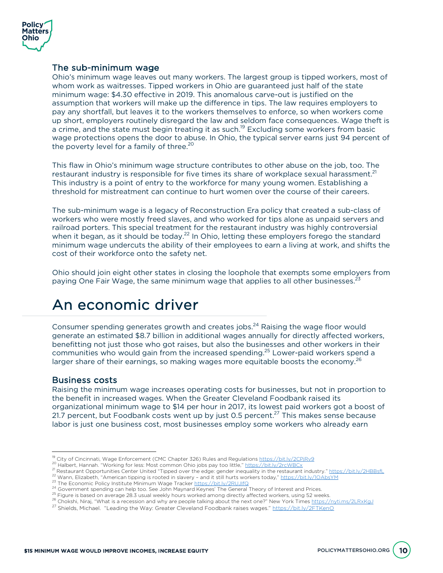

#### The sub-minimum wage

Ohio's minimum wage leaves out many workers. The largest group is tipped workers, most of whom work as waitresses. Tipped workers in Ohio are guaranteed just half of the state minimum wage: \$4.30 effective in 2019. This anomalous carve-out is justified on the assumption that workers will make up the difference in tips. The law requires employers to pay any shortfall, but leaves it to the workers themselves to enforce, so when workers come up short, employers routinely disregard the law and seldom face consequences. Wage theft is a crime, and the state must begin treating it as such.<sup>19</sup> Excluding some workers from basic wage protections opens the door to abuse. In Ohio, the typical server earns just 94 percent of the poverty level for a family of three.<sup>20</sup>

This flaw in Ohio's minimum wage structure contributes to other abuse on the job, too. The restaurant industry is responsible for five times its share of workplace sexual harassment.<sup>21</sup> This industry is a point of entry to the workforce for many young women. Establishing a threshold for mistreatment can continue to hurt women over the course of their careers.

The sub-minimum wage is a legacy of Reconstruction Era policy that created a sub-class of workers who were mostly freed slaves, and who worked for tips alone as unpaid servers and railroad porters. This special treatment for the restaurant industry was highly controversial when it began, as it should be today.<sup>22</sup> In Ohio, letting these employers forego the standard minimum wage undercuts the ability of their employees to earn a living at work, and shifts the cost of their workforce onto the safety net.

Ohio should join eight other states in closing the loophole that exempts some employers from paying One Fair Wage, the same minimum wage that applies to all other businesses.<sup>23</sup>

## An economic driver

Consumer spending generates growth and creates jobs.<sup>24</sup> Raising the wage floor would generate an estimated \$8.7 billion in additional wages annually for directly affected workers, benefitting not just those who got raises, but also the businesses and other workers in their communities who would gain from the increased spending.<sup>25</sup> Lower-paid workers spend a larger share of their earnings, so making wages more equitable boosts the economy.<sup>26</sup>

#### Business costs

Raising the minimum wage increases operating costs for businesses, but not in proportion to the benefit in increased wages. When the Greater Cleveland Foodbank raised its organizational minimum wage to \$14 per hour in 2017, its lowest paid workers got a boost of 21.7 percent, but Foodbank costs went up by just 0.5 percent.<sup>27</sup> This makes sense because labor is just one business cost, most businesses employ some workers who already earn

<sup>&</sup>lt;sup>19</sup> City of Cincinnati, Wage Enforcement (CMC Chapter 326) Rules and Regulations https://bit.ly/2CPjRv9

<sup>&</sup>lt;sup>20</sup> Halbert, Hannah. "Working for less: Most common Ohio jobs pay too little," https://bit.ly/2rcWBCx<br>
<sup>21</sup> Restaurant Opportunities Center United "Tipped over the edge: gender inequality in the restaurant industry." htt

<sup>27</sup> Shields, Michael. "Leading the Way: Greater Cleveland Foodbank raises wages." https://bit.ly/2FTKenO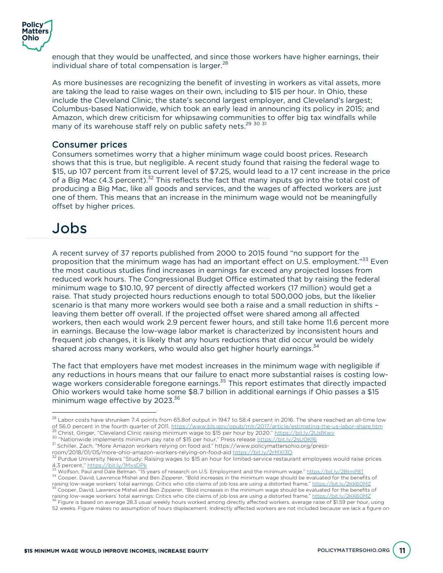

enough that they would be unaffected, and since those workers have higher earnings, their individual share of total compensation is larger.<sup>28</sup>

As more businesses are recognizing the benefit of investing in workers as vital assets, more are taking the lead to raise wages on their own, including to \$15 per hour. In Ohio, these include the Cleveland Clinic, the state's second largest employer, and Cleveland's largest; Columbus-based Nationwide, which took an early lead in announcing its policy in 2015; and Amazon, which drew criticism for whipsawing communities to offer big tax windfalls while many of its warehouse staff rely on public safety nets.<sup>29 30 31</sup>

#### Consumer prices

Consumers sometimes worry that a higher minimum wage could boost prices. Research shows that this is true, but negligible. A recent study found that raising the federal wage to \$15, up 107 percent from its current level of \$7.25, would lead to a 17 cent increase in the price of a Big Mac  $(4.3$  percent).<sup>32</sup> This reflects the fact that many inputs go into the total cost of producing a Big Mac, like all goods and services, and the wages of affected workers are just one of them. This means that an increase in the minimum wage would not be meaningfully offset by higher prices.

## Jobs

 $\overline{a}$ 

A recent survey of 37 reports published from 2000 to 2015 found "no support for the proposition that the minimum wage has had an important effect on U.S. employment."<sup>33</sup> Even the most cautious studies find increases in earnings far exceed any projected losses from reduced work hours. The Congressional Budget Office estimated that by raising the federal minimum wage to \$10.10, 97 percent of directly affected workers (17 million) would get a raise. That study projected hours reductions enough to total 500,000 jobs, but the likelier scenario is that many more workers would see both a raise and a small reduction in shifts – leaving them better off overall. If the projected offset were shared among all affected workers, then each would work 2.9 percent fewer hours, and still take home 11.6 percent more in earnings. Because the low-wage labor market is characterized by inconsistent hours and frequent job changes, it is likely that any hours reductions that did occur would be widely shared across many workers, who would also get higher hourly earnings.<sup>34</sup>

The fact that employers have met modest increases in the minimum wage with negligible if any reductions in hours means that our failure to enact more substantial raises is costing lowwage workers considerable foregone earnings.<sup>35</sup> This report estimates that directly impacted Ohio workers would take home some \$8.7 billion in additional earnings if Ohio passes a \$15 minimum wage effective by 2023.<sup>36</sup>

 $^{28}$  Labor costs have shrunken 7.4 points from 65.8of output in 1947 to 58.4 percent in 2016. The share reached an all-time low of 56.0 percent in the fourth quarter of 2011. https://www.bls.gov/opub/mir/2017/article/estimating-the-us-labor-share.htm<br><sup>29</sup> Christ, Ginger, "Cleveland Clinic raising minimum wage to \$15 per hour by 2020." https://bit.l

<sup>&</sup>lt;sup>31</sup> Schiller, Zach. "More Amazon workers relying on food aid." https://www.policymattersohio.org/press-

room/2018/01/05/more-ohio-amazon-workers-relying-on-food-aid https://bit.ly/2rMXl3O<br><sup>32</sup> Purdue University News "Study: Raising wages to \$15 an hour for limited-service restaurant employees would raise prices<br>4.3 percent,"

 $^{33}$  Wolfson, Paul and Dale Belman. "15 years of research on U.S. Employment and the minimum wage." <u>https://bit.ly/2BtmP8T</u><br><sup>34</sup> Cooper, David, Lawrence Mishel and Ben Zipperer, "Bold increases in the minimum wage shou raising low-wage workers' total earnings: Critics who cite claims of job loss are using a distorted frame," https://bit.ly/2KK60MZ<br><sup>35</sup> Cooper, David, Lawrence Mishel and Ben Zipperer, "Bold increases in the minimum wage s

 $^{36}$  Figure is based on average 28.3 usual weekly hours worked among directly affected workers, average raise of \$1.59 per hour, using

<sup>52</sup> weeks. Figure makes no assumption of hours displacement. Indirectly affected workers are not included because we lack a figure on